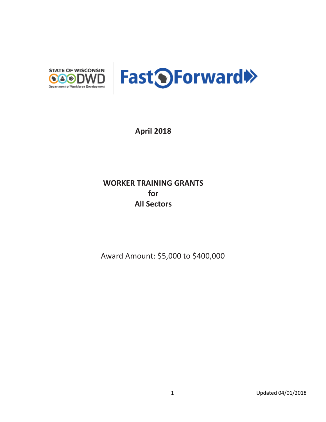

**April 2018**

## **WORKER TRAINING GRANTS for All Sectors**

Award Amount: \$5,000 to \$400,000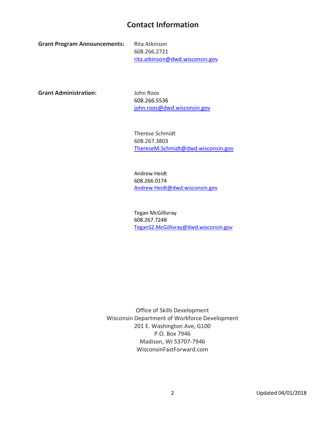## **Contact Information**

**Grant Program Announcements:** Rita Atkinson

608.266.2721 rita.atkinson@dwd.wisconsin.gov

**Grant Administration:** John Roos

608.266.5536 [john.roos@dwd.wisconsin.gov](mailto:john.roos@dwd.wisconsin.gov)

Therese Schmidt 608.267.3803 [ThereseM.Schmidt@dwd.wisconsin.gov](mailto:ThereseM.Schmidt@dwd.wisconsin.gov) 

Andrew Heidt 608.266.0174 [Andrew.Heidt@dwd.wisconsin.gov](mailto:Andrew.Heidt@dwd.wisconsin.gov) 

Tegan McGillivray 608.267.7248 [TeganS2.McGillivray@dwd.wisconsin.gov](mailto:TeganS2.McGillivray@dwd.wisconsin.gov) 

Office of Skills Development Wisconsin Department of Workforce Development 201 E. Washington Ave, G100 P.O. Box 7946 Madison, WI 53707-7946 WisconsinFastForward.com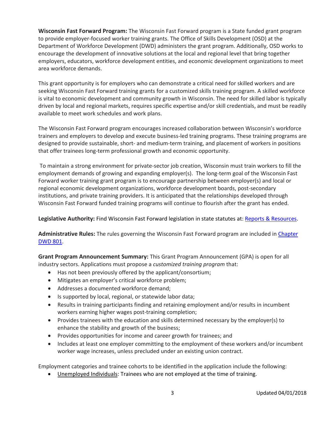**Wisconsin Fast Forward Program:** The Wisconsin Fast Forward program is a State funded grant program to provide employer-focused worker training grants. The Office of Skills Development (OSD) at the Department of Workforce Development (DWD) administers the grant program. Additionally, OSD works to encourage the development of innovative solutions at the local and regional level that bring together employers, educators, workforce development entities, and economic development organizations to meet area workforce demands.

This grant opportunity is for employers who can demonstrate a critical need for skilled workers and are seeking Wisconsin Fast Forward training grants for a customized skills training program. A skilled workforce is vital to economic development and community growth in Wisconsin. The need for skilled labor is typically driven by local and regional markets, requires specific expertise and/or skill credentials, and must be readily available to meet work schedules and work plans.

The Wisconsin Fast Forward program encourages increased collaboration between Wisconsin's workforce trainers and employers to develop and execute business-led training programs. These training programs are designed to provide sustainable, short- and medium-term training, and placement of workers in positions that offer trainees long-term professional growth and economic opportunity.

To maintain a strong environment for private-sector job creation, Wisconsin must train workers to fill the employment demands of growing and expanding employer(s). The long-term goal of the Wisconsin Fast Forward worker training grant program is to encourage partnership between employer(s) and local or regional economic development organizations, workforce development boards, post-secondary institutions, and private training providers. It is anticipated that the relationships developed through Wisconsin Fast Forward funded training programs will continue to flourish after the grant has ended.

**Legislative Authority:** Find Wisconsin Fast Forward legislation in state statutes at: [Reports & Resources.](http://www.wisconsinfastforward.com/reports.htm)

**Administrative Rules:** The rules governing the Wisconsin Fast Forward program are included i[n Chapter](http://docs.legis.wisconsin.gov/code/admin_code/dwd/801/801)  [DWD 801.](http://docs.legis.wisconsin.gov/code/admin_code/dwd/801/801)

**Grant Program Announcement Summary:** This Grant Program Announcement (GPA) is open for all industry sectors. Applications must propose a *customized training program* that:

- Has not been previously offered by the applicant/consortium;
- Mitigates an employer's critical workforce problem;
- Addresses a documented workforce demand;
- Is supported by local, regional, or statewide labor data;
- Results in training participants finding and retaining employment and/or results in incumbent workers earning higher wages post-training completion;
- Provides trainees with the education and skills determined necessary by the employer(s) to enhance the stability and growth of the business;
- Provides opportunities for income and career growth for trainees; and
- Includes at least one employer committing to the employment of these workers and/or incumbent worker wage increases, unless precluded under an existing union contract.

Employment categories and trainee cohorts to be identified in the application include the following:

• Unemployed Individuals: Trainees who are not employed at the time of training.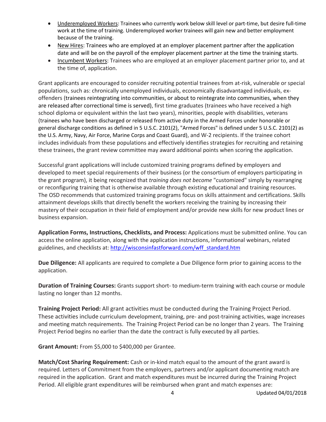- Underemployed Workers: Trainees who currently work below skill level or part-time, but desire full-time work at the time of training. Underemployed worker trainees will gain new and better employment because of the training.
- New Hires: Trainees who are employed at an employer placement partner after the application date and will be on the payroll of the employer placement partner at the time the training starts.
- Incumbent Workers: Trainees who are employed at an employer placement partner prior to, and at the time of, application.

Grant applicants are encouraged to consider recruiting potential trainees from at-risk, vulnerable or special populations, such as: chronically unemployed individuals, economically disadvantaged individuals, exoffenders (trainees reintegrating into communities, or about to reintegrate into communities, when they are released after correctional time is served), first time graduates (trainees who have received a high school diploma or equivalent within the last two years), minorities, people with disabilities, veterans (trainees who have been discharged or released from active duty in the Armed Forces under honorable or general discharge conditions as defined in 5 U.S.C. 2101(2), "Armed Forces" is defined under 5 U.S.C. 2101(2) as the U.S. Army, Navy, Air Force, Marine Corps and Coast Guard), and W-2 recipients. If the trainee cohort includes individuals from these populations and effectively identifies strategies for recruiting and retaining these trainees, the grant review committee may award additional points when scoring the application.

Successful grant applications will include customized training programs defined by employers and developed to meet special requirements of their business (or the consortium of employers participating in the grant program), it being recognized that *training does not become* "customized" simply by rearranging or reconfiguring training that is otherwise available through existing educational and training resources. The OSD recommends that customized training programs focus on skills attainment and certifications. Skills attainment develops skills that directly benefit the workers receiving the training by increasing their mastery of their occupation in their field of employment and/or provide new skills for new product lines or business expansion.

**Application Forms, Instructions, Checklists, and Process:** Applications must be submitted online. You can access the online application, along with the application instructions, informational webinars, related guidelines, and checklists at: [http://wisconsinfastforward.com/wff\\_standard.htm](http://wisconsinfastforward.com/wff_standard.htm)

**Due Diligence:** All applicants are required to complete a Due Diligence form prior to gaining access to the application.

**Duration of Training Courses:** Grants support short- to medium-term training with each course or module lasting no longer than 12 months.

**Training Project Period:** All grant activities must be conducted during the Training Project Period. These activities include curriculum development, training, pre- and post-training activities, wage increases and meeting match requirements. The Training Project Period can be no longer than 2 years. The Training Project Period begins no earlier than the date the contract is fully executed by all parties.

**Grant Amount:** From \$5,000 to \$400,000 per Grantee.

**Match/Cost Sharing Requirement:** Cash or in-kind match equal to the amount of the grant award is required. Letters of Commitment from the employers, partners and/or applicant documenting match are required in the application. Grant and match expenditures must be incurred during the Training Project Period. All eligible grant expenditures will be reimbursed when grant and match expenses are: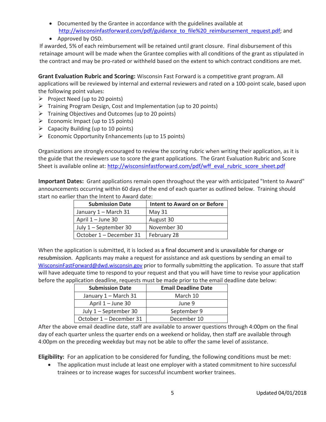- Documented by the Grantee in accordance with the guidelines available at [http://wisconsinfastforward.com/pdf/guidance\\_to\\_file%20\\_reimbursement\\_request.pdf;](http://wisconsinfastforward.com/pdf/guidance_to_file%20_reimbursement_request.pdf) and
- Approved by OSD.

If awarded, 5% of each reimbursement will be retained until grant closure. Final disbursement of this retainage amount will be made when the Grantee complies with all conditions of the grant as stipulated in the contract and may be pro-rated or withheld based on the extent to which contract conditions are met.

**Grant Evaluation Rubric and Scoring:** Wisconsin Fast Forward is a competitive grant program. All applications will be reviewed by internal and external reviewers and rated on a 100-point scale, based upon the following point values:

- $\triangleright$  Project Need (up to 20 points)
- $\triangleright$  Training Program Design, Cost and Implementation (up to 20 points)
- $\triangleright$  Training Objectives and Outcomes (up to 20 points)
- $\triangleright$  Economic Impact (up to 15 points)
- $\triangleright$  Capacity Building (up to 10 points)
- $\triangleright$  Economic Opportunity Enhancements (up to 15 points)

Organizations are strongly encouraged to review the scoring rubric when writing their application, as it is the guide that the reviewers use to score the grant applications. The Grant Evaluation Rubric and Score Sheet is available online at: [http://wisconsinfastforward.com/pdf/wff\\_eval\\_rubric\\_score\\_sheet.pdf](http://wisconsinfastforward.com/pdf/wff_eval_rubric_score_sheet.pdf)

**Important Dates:** Grant applications remain open throughout the year with anticipated "Intent to Award" announcements occurring within 60 days of the end of each quarter as outlined below. Training should start no earlier than the Intent to Award date:

| <b>Submission Date</b>  | <b>Intent to Award on or Before</b> |
|-------------------------|-------------------------------------|
| January 1 - March 31    | May 31                              |
| April 1 - June 30       | August 30                           |
| July 1 – September 30   | November 30                         |
| October 1 – December 31 | February 28                         |

When the application is submitted, it is locked as a final document and is unavailable for change or resubmission. Applicants may make a request for assistance and ask questions by sending an email to [WisconsinFastForward@dwd.wisconsin.gov](mailto:WisconsinFastForward@dwd.wisconsin.gov) prior to formally submitting the application. To assure that staff will have adequate time to respond to your request and that you will have time to revise your application before the application deadline, requests must be made prior to the email deadline date below:

| <b>Submission Date</b>  | <b>Email Deadline Date</b> |
|-------------------------|----------------------------|
| January 1 - March 31    | March 10                   |
| April 1 – June 30       | June 9                     |
| July 1 – September 30   | September 9                |
| October 1 – December 31 | December 10                |

After the above email deadline date, staff are available to answer questions through 4:00pm on the final day of each quarter unless the quarter ends on a weekend or holiday, then staff are available through 4:00pm on the preceding weekday but may not be able to offer the same level of assistance.

**Eligibility:** For an application to be considered for funding, the following conditions must be met:

• The application must include at least one employer with a stated commitment to hire successful trainees or to increase wages for successful incumbent worker trainees.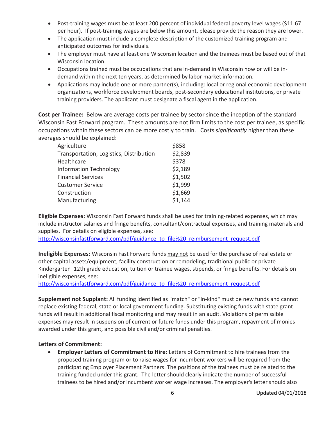- Post-training wages must be at least 200 percent of individual federal poverty level wages (\$11.67) per hour). If post-training wages are below this amount, please provide the reason they are lower.
- The application must include a complete description of the customized training program and anticipated outcomes for individuals.
- The employer must have at least one Wisconsin location and the trainees must be based out of that Wisconsin location.
- Occupations trained must be occupations that are in-demand in Wisconsin now or will be indemand within the next ten years, as determined by labor market information.
- Applications may include one or more partner(s), including: local or regional economic development organizations, workforce development boards, post-secondary educational institutions, or private training providers. The applicant must designate a fiscal agent in the application.

**Cost per Trainee:** Below are average costs per trainee by sector since the inception of the standard Wisconsin Fast Forward program. These amounts are not firm limits to the cost per trainee, as specific occupations within these sectors can be more costly to train. Costs *significantly* higher than these averages should be explained:

| Agriculture                             | \$858   |
|-----------------------------------------|---------|
| Transportation, Logistics, Distribution | \$2,839 |
| Healthcare                              | \$378   |
| <b>Information Technology</b>           | \$2,189 |
| <b>Financial Services</b>               | \$1,502 |
| <b>Customer Service</b>                 | \$1,999 |
| Construction                            | \$1,669 |
| Manufacturing                           | \$1,144 |

**Eligible Expenses:** Wisconsin Fast Forward funds shall be used for training-related expenses, which may include instructor salaries and fringe benefits, consultant/contractual expenses, and training materials and supplies. For details on eligible expenses, see:

[http://wisconsinfastforward.com/pdf/guidance\\_to\\_file%20\\_reimbursement\\_request.pdf](http://wisconsinfastforward.com/pdf/guidance_to_file%20_reimbursement_request.pdf)

**Ineligible Expenses:** Wisconsin Fast Forward funds may not be used for the purchase of real estate or other capital assets/equipment, facility construction or remodeling, traditional public or private Kindergarten–12th grade education, tuition or trainee wages, stipends, or fringe benefits. For details on ineligible expenses, see:

[http://wisconsinfastforward.com/pdf/guidance\\_to\\_file%20\\_reimbursement\\_request.pdf](http://wisconsinfastforward.com/pdf/guidance_to_file%20_reimbursement_request.pdf)

**Supplement not Supplant:** All funding identified as "match" or "in-kind" must be new funds and cannot replace existing federal, state or local government funding. Substituting existing funds with state grant funds will result in additional fiscal monitoring and may result in an audit. Violations of permissible expenses may result in suspension of current or future funds under this program, repayment of monies awarded under this grant, and possible civil and/or criminal penalties.

## **Letters of Commitment:**

• **Employer Letters of Commitment to Hire:** Letters of Commitment to hire trainees from the proposed training program or to raise wages for incumbent workers will be required from the participating Employer Placement Partners. The positions of the trainees must be related to the training funded under this grant. The letter should clearly indicate the number of successful trainees to be hired and/or incumbent worker wage increases. The employer's letter should also